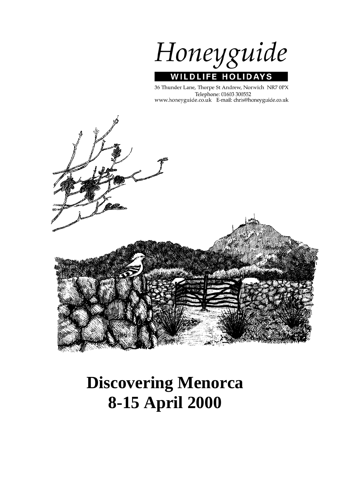Honeyguide **WILDLIFE HOLIDAYS** 

36 Thunder Lane, Thorpe St Andrew, Norwich NR7 0PX Telephone: 01603 300552 www.honeyguide.co.uk E-mail: chris@honeyguide.co.uk



# **Discovering Menorca 8-15 April 2000**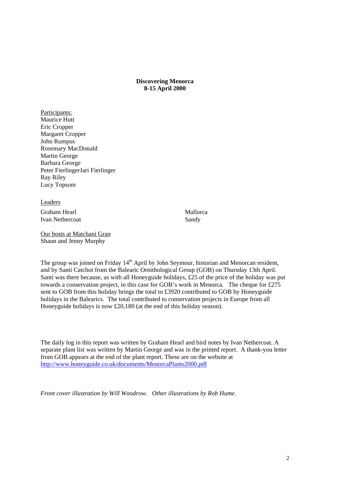**Discovering Menorca 8-15 April 2000** 

Participants: Maurice Hutt Eric Cropper Margaret Cropper John Rumpus Rosemary MacDonald Martin George Barbara George Peter FierlingerJari Fierlinger Ray Riley Lucy Topsom

Leaders Graham Hearl Mallorca Ivan Nethercoat Sandy

Our hosts at Matchani Gran Shaun and Jenny Murphy

The group was joined on Friday 14<sup>th</sup> April by John Seymour, historian and Menorcan resident, and by Santí Catchot from the Balearic Ornithological Group (GOB) on Thursday 13th April. Santí was there because, as with all Honeyguide holidays, £25 of the price of the holiday was put towards a conservation project, in this case for GOB's work in Menorca. The cheque for £275 sent to GOB from this holiday brings the total to £3920 contributed to GOB by Honeyguide holidays in the Balearics. The total contributed to conservation projects in Europe from all Honeyguide holidays is now £20,180 (at the end of this holiday season).

The daily log in this report was written by Graham Hearl and bird notes by Ivan Nethercoat. A separate plant list was written by Martin George and was in the printed report. A thank-you letter from GOB appears at the end of the plant report. These are on the website at http://www.honeyguide.co.uk/documents/MenorcaPlants2000.pdf

*Front cover illustration by Will Woodrow. Other illustrations by Rob Hume.*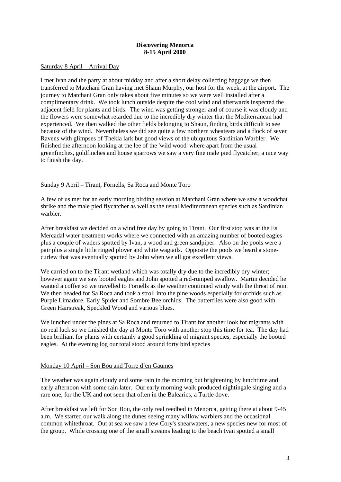## **Discovering Menorca 8-15 April 2000**

#### Saturday 8 April – Arrival Day

I met Ivan and the party at about midday and after a short delay collecting baggage we then transferred to Matchani Gran having met Shaun Murphy, our host for the week, at the airport. The journey to Matchani Gran only takes about five minutes so we were well installed after a complimentary drink. We took lunch outside despite the cool wind and afterwards inspected the adjacent field for plants and birds. The wind was getting stronger and of course it was cloudy and the flowers were somewhat retarded due to the incredibly dry winter that the Mediterranean had experienced. We then walked the other fields belonging to Shaun, finding birds difficult to see because of the wind. Nevertheless we did see quite a few northern wheatears and a flock of seven Ravens with glimpses of Thekla lark but good views of the ubiquitous Sardinian Warbler. We finished the afternoon looking at the lee of the 'wild wood' where apart from the usual greenfinches, goldfinches and house sparrows we saw a very fine male pied flycatcher, a nice way to finish the day.

## Sunday 9 April – Tirant, Fornells, Sa Roca and Monte Toro

A few of us met for an early morning birding session at Matchani Gran where we saw a woodchat shrike and the male pied flycatcher as well as the usual Mediterranean species such as Sardinian warbler.

After breakfast we decided on a wind free day by going to Tirant. Our first stop was at the Es Mercadal water treatment works where we connected with an amazing number of booted eagles plus a couple of waders spotted by Ivan, a wood and green sandpiper. Also on the pools were a pair plus a single little ringed plover and white wagtails. Opposite the pools we heard a stonecurlew that was eventually spotted by John when we all got excellent views.

We carried on to the Tirant wetland which was totally dry due to the incredibly dry winter; however again we saw booted eagles and John spotted a red-rumped swallow. Martin decided he wanted a coffee so we travelled to Fornells as the weather continued windy with the threat of rain. We then headed for Sa Roca and took a stroll into the pine woods especially for orchids such as Purple Limadore, Early Spider and Sombre Bee orchids. The butterflies were also good with Green Hairstreak, Speckled Wood and various blues.

We lunched under the pines at Sa Roca and returned to Tirant for another look for migrants with no real luck so we finished the day at Monte Toro with another stop this time for tea. The day had been brilliant for plants with certainly a good sprinkling of migrant species, especially the booted eagles. At the evening log our total stood around forty bird species

## Monday 10 April – Son Bou and Torre d'en Gaumes

The weather was again cloudy and some rain in the morning but brightening by lunchtime and early afternoon with some rain later. Our early morning walk produced nightingale singing and a rare one, for the UK and not seen that often in the Balearics, a Turtle dove.

After breakfast we left for Son Bou, the only real reedbed in Menorca, getting there at about 9-45 a.m. We started our walk along the dunes seeing many willow warblers and the occasional common whitethroat. Out at sea we saw a few Cory's shearwaters, a new species new for most of the group. While crossing one of the small streams leading to the beach Ivan spotted a small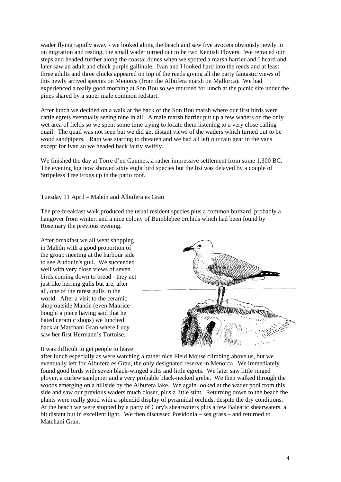wader flying rapidly away - we looked along the beach and saw five avocets obviously newly in on migration and resting, the small wader turned out to be two Kentish Plovers. We retraced our steps and headed further along the coastal dunes when we spotted a marsh harrier and I heard and later saw an adult and chick purple gallinule. Ivan and I looked hard into the reeds and at least three adults and three chicks appeared on top of the reeds giving all the party fantastic views of this newly arrived species on Menorca (from the Albufera marsh on Mallorca). We had experienced a really good morning at Son Bou so we returned for lunch at the picnic site under the pines shared by a super male common redstart.

After lunch we decided on a walk at the back of the Son Bou marsh where our first birds were cattle egrets eventually seeing nine in all. A male marsh harrier put up a few waders on the only wet area of fields so we spent some time trying to locate them listening to a very close calling quail. The quail was not seen but we did get distant views of the waders which turned out to be wood sandpipers. Rain was starting to threaten and we had all left our rain gear in the vans except for Ivan so we headed back fairly swiftly.

We finished the day at Torre d'en Gaumes, a rather impressive settlement from some 1,300 BC. The evening log now showed sixty eight bird species but the list was delayed by a couple of Stripeless Tree Frogs up in the patio roof.

## Tuesday 11 April – Mahón and Albufera es Grau

The pre-breakfast walk produced the usual resident species plus a common buzzard, probably a hangover from winter, and a nice colony of Bumblebee orchids which had been found by Rosemary the previous evening.

After breakfast we all went shopping in Mahón with a good proportion of the group meeting at the harbour side to see Audouin's gull. We succeeded well with very close views of seven birds coming down to bread - they act just like herring gulls but are, after all, one of the rarest gulls in the world. After a visit to the ceramic shop outside Mahón (even Maurice bought a piece having said that he hated ceramic shops) we lunched back at Matchani Gran where Lucy saw her first Hermann's Tortoise.

It was difficult to get people to leave



after lunch especially as were watching a rather nice Field Mouse climbing above us, but we eventually left for Albufera es Grau, the only designated reserve in Menorca. We immediately found good birds with seven black-winged stilts and little egrets. We later saw little ringed plover, a curlew sandpiper and a very probable black-necked grebe. We then walked through the woods emerging on a hillside by the Albufera lake. We again looked at the wader pool from this side and saw our previous waders much closer, plus a little stint. Returning down to the beach the plants were really good with a splendid display of pyramidal orchids, despite the dry conditions. At the beach we were stopped by a party of Cory's shearwaters plus a few Balearic shearwaters, a bit distant but in excellent light. We then discussed Posidonia – sea grass – and returned to Matchani Gran.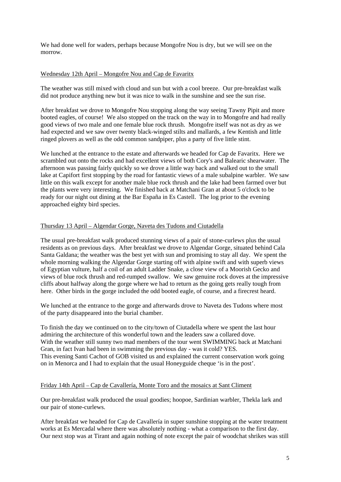We had done well for waders, perhaps because Mongofre Nou is dry, but we will see on the morrow.

## Wednesday 12th April – Mongofre Nou and Cap de Favaritx

The weather was still mixed with cloud and sun but with a cool breeze. Our pre-breakfast walk did not produce anything new but it was nice to walk in the sunshine and see the sun rise.

After breakfast we drove to Mongofre Nou stopping along the way seeing Tawny Pipit and more booted eagles, of course! We also stopped on the track on the way in to Mongofre and had really good views of two male and one female blue rock thrush. Mongofre itself was not as dry as we had expected and we saw over twenty black-winged stilts and mallards, a few Kentish and little ringed plovers as well as the odd common sandpiper, plus a party of five little stint.

We lunched at the entrance to the estate and afterwards we headed for Cap de Favaritx. Here we scrambled out onto the rocks and had excellent views of both Cory's and Balearic shearwater. The afternoon was passing fairly quickly so we drove a little way back and walked out to the small lake at Capifort first stopping by the road for fantastic views of a male subalpine warbler. We saw little on this walk except for another male blue rock thrush and the lake had been farmed over but the plants were very interesting. We finished back at Matchani Gran at about 5 o'clock to be ready for our night out dining at the Bar España in Es Castell. The log prior to the evening approached eighty bird species.

## Thursday 13 April – Algendar Gorge, Naveta des Tudons and Ciutadella

The usual pre-breakfast walk produced stunning views of a pair of stone-curlews plus the usual residents as on previous days. After breakfast we drove to Algendar Gorge, situated behind Cala Santa Galdana; the weather was the best yet with sun and promising to stay all day. We spent the whole morning walking the Algendar Gorge starting off with alpine swift and with superb views of Egyptian vulture, half a coil of an adult Ladder Snake, a close view of a Moorish Gecko and views of blue rock thrush and red-rumped swallow. We saw genuine rock doves at the impressive cliffs about halfway along the gorge where we had to return as the going gets really tough from here. Other birds in the gorge included the odd booted eagle, of course, and a firecrest heard.

We lunched at the entrance to the gorge and afterwards drove to Naveta des Tudons where most of the party disappeared into the burial chamber.

To finish the day we continued on to the city/town of Ciutadella where we spent the last hour admiring the architecture of this wonderful town and the leaders saw a collared dove. With the weather still sunny two mad members of the tour went SWIMMING back at Matchani Gran, in fact Ivan had been in swimming the previous day - was it cold? YES. This evening Santi Cachot of GOB visited us and explained the current conservation work going on in Menorca and I had to explain that the usual Honeyguide cheque 'is in the post'.

## Friday 14th April – Cap de Cavallería, Monte Toro and the mosaics at Sant Climent

Our pre-breakfast walk produced the usual goodies; hoopoe, Sardinian warbler, Thekla lark and our pair of stone-curlews.

After breakfast we headed for Cap de Cavallería in super sunshine stopping at the water treatment works at Es Mercadal where there was absolutely nothing - what a comparison to the first day. Our next stop was at Tirant and again nothing of note except the pair of woodchat shrikes was still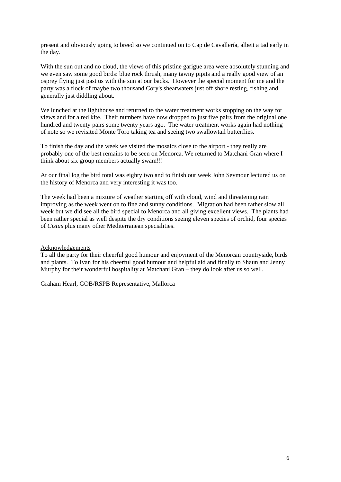present and obviously going to breed so we continued on to Cap de Cavallería, albeit a tad early in the day.

With the sun out and no cloud, the views of this pristine garigue area were absolutely stunning and we even saw some good birds: blue rock thrush, many tawny pipits and a really good view of an osprey flying just past us with the sun at our backs. However the special moment for me and the party was a flock of maybe two thousand Cory's shearwaters just off shore resting, fishing and generally just diddling about.

We lunched at the lighthouse and returned to the water treatment works stopping on the way for views and for a red kite. Their numbers have now dropped to just five pairs from the original one hundred and twenty pairs some twenty years ago. The water treatment works again had nothing of note so we revisited Monte Toro taking tea and seeing two swallowtail butterflies.

To finish the day and the week we visited the mosaics close to the airport - they really are probably one of the best remains to be seen on Menorca. We returned to Matchani Gran where I think about six group members actually swam!!!

At our final log the bird total was eighty two and to finish our week John Seymour lectured us on the history of Menorca and very interesting it was too.

The week had been a mixture of weather starting off with cloud, wind and threatening rain improving as the week went on to fine and sunny conditions. Migration had been rather slow all week but we did see all the bird special to Menorca and all giving excellent views. The plants had been rather special as well despite the dry conditions seeing eleven species of orchid, four species of *Cistus* plus many other Mediterranean specialities.

## Acknowledgements

To all the party for their cheerful good humour and enjoyment of the Menorcan countryside, birds and plants. To Ivan for his cheerful good humour and helpful aid and finally to Shaun and Jenny Murphy for their wonderful hospitality at Matchani Gran – they do look after us so well.

Graham Hearl, GOB/RSPB Representative, Mallorca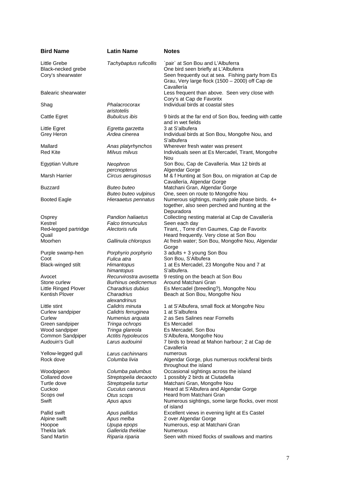| <b>Bird Name</b>                | <b>Latin Name</b>                 | <b>Notes</b>                                                |
|---------------------------------|-----------------------------------|-------------------------------------------------------------|
| Little Grebe                    | Tachybaptus ruficollis            | `pair` at Son Bou and L'Albuferra                           |
| Black-necked grebe              |                                   | One bird seen briefly at L'Albuferra                        |
| Cory's shearwater               |                                   | Seen frequently out at sea. Fishing party from Es           |
|                                 |                                   | Grau, Very large flock (1500 - 2000) off Cap de             |
|                                 |                                   | Cavallería                                                  |
| <b>Balearic shearwater</b>      |                                   | Less frequent than above. Seen very close with              |
|                                 |                                   | Cory's at Cap de Favoritx                                   |
| Shag                            | Phalacrocorax                     | Individual birds at coastal sites                           |
|                                 | aristotelis                       |                                                             |
| Cattle Egret                    | <b>Bubulcus ibis</b>              | 9 birds at the far end of Son Bou, feeding with cattle      |
|                                 |                                   | and in wet fields                                           |
| Little Egret                    | Egretta garzetta                  | 3 at S'albufera                                             |
| Grey Heron                      | Ardea cinerea                     | Individual birds at Son Bou, Mongofre Nou, and              |
|                                 |                                   | S'albufera                                                  |
| Mallard                         | Anas platyrhynchos                | Wherever fresh water was present                            |
| <b>Red Kite</b>                 | Milvus milvus                     | Individuals seen at Es Mercadel, Tirant, Mongofre           |
|                                 |                                   | <b>Nou</b>                                                  |
| Egyptian Vulture                | Neophron                          | Son Bou, Cap de Cavallería. Max 12 birds at                 |
| Marsh Harrier                   | percnopterus                      | Algendar Gorge                                              |
|                                 | Circus aeruginosus                | M & f Hunting at Son Bou, on migration at Cap de            |
| Buzzard                         | Buteo buteo                       | Cavallería, Algendar Gorge<br>Matchani Gran, Algendar Gorge |
|                                 | Buteo buteo vulpinus              | One, seen on route to Mongofre Nou                          |
| <b>Booted Eagle</b>             | Hieraaetus pennatus               | Numerous sightings, mainly pale phase birds. 4+             |
|                                 |                                   | together, also seen perched and hunting at the              |
|                                 |                                   | Depuradora                                                  |
| Osprey                          | <b>Pandion haliaetus</b>          | Collecting nesting material at Cap de Cavallería            |
| Kestrel                         | Falco tinnunculus                 | Seen each day                                               |
| Red-legged partridge            | Alectoris rufa                    | Tirant, , Torre d'en Gaumes, Cap de Favoritx                |
| Quail                           |                                   | Heard frequently. Very close at Son Bou                     |
| Moorhen                         | Gallinula chloropus               | At fresh water; Son Bou, Mongofre Nou, Algendar             |
|                                 |                                   | Gorge                                                       |
| Purple swamp-hen                | Porphyrio porphyrio               | 3 adults + 3 young Son Bou                                  |
| Coot                            | Fulica atra                       | Son Bou, S'Albufera                                         |
| Black-winged stilt              | Himantopus                        | 1 at Es Mercadel, 23 Mongofre Nou and 7 at                  |
|                                 | himantopus                        | S'albufera.                                                 |
| Avocet                          | Recurvirostra avosetta            | 9 resting on the beach at Son Bou                           |
| Stone curlew                    | <b>Burhinus oedicnemus</b>        | Around Matchani Gran                                        |
| Little Ringed Plover            | Charadrius dubius                 | Es Mercadel (breeding?), Mongofre Nou                       |
| <b>Kentish Plover</b>           | Charadrius                        | Beach at Son Bou, Mongofre Nou                              |
|                                 | alexandrinus                      |                                                             |
| Little stint                    | Calidris minuta                   | 1 at S'Albufera, small flock at Mongofre Nou                |
| Curlew sandpiper                | Calidris ferruginea               | 1 at S'albufera                                             |
| Curlew                          | Numenius arquata                  | 2 as Ses Salines near Fornells                              |
| Green sandpiper                 | Tringa ochrops                    | Es Mercadel                                                 |
| Wood sandpiper                  | Tringa glareola                   | Es Mercadel, Son Bou                                        |
| Common Sandpiper                | Actitis hypoleucos                | S'Albufera, Mongofre Nou                                    |
| Audouin's Gull                  | Larus audouinii                   | 7 birds to bread at Mahon harbour; 2 at Cap de              |
|                                 |                                   | Cavallería<br>numerous                                      |
| Yellow-legged gull<br>Rock dove | Larus cachinnans<br>Columba livia | Algendar Gorge, plus numerous rock/feral birds              |
|                                 |                                   | throughout the island                                       |
| Woodpigeon                      | Columba palumbus                  | Occasional sightings across the island                      |
| Collared dove                   | Streptopelia decaocto             | 1 possibly 2 birds at Ciutadella                            |
| Turtle dove                     | Streptopelia turtur               | Matchani Gran, Mongofre Nou                                 |
| Cuckoo                          | Cuculus canorus                   | Heard at S'Albufera and Algendar Gorge                      |
| Scops owl                       | Otus scops                        | Heard from Matchani Gran                                    |
| Swift                           | Apus apus                         | Numerous sightings, some large flocks, over most            |
|                                 |                                   | of island                                                   |
| Pallid swift                    | Apus pallidus                     | Excellent views in evening light at Es Castel               |
| Alpine swift                    | Apus melba                        | 2 over Algendar Gorge                                       |
| Hoopoe                          | Upupa epops                       | Numerous, esp at Matchani Gran                              |
| Thekla lark                     | Gallerida theklae                 | <b>Numerous</b>                                             |
| Sand Martin                     | Riparia riparia                   | Seen with mixed flocks of swallows and martins              |